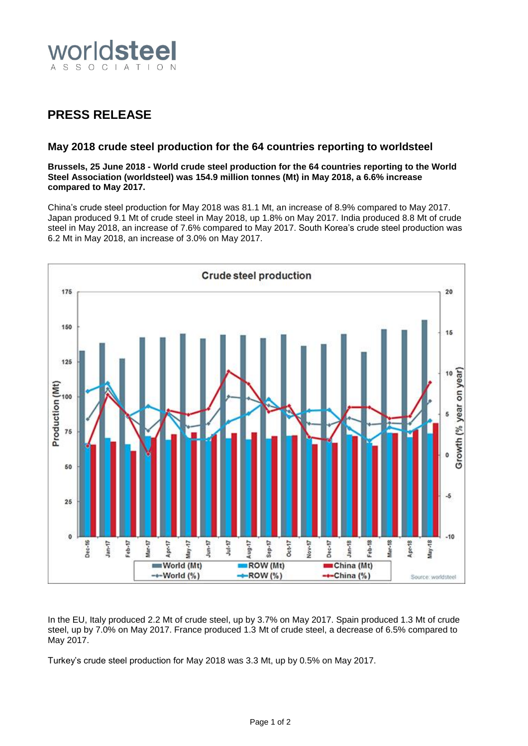

## **PRESS RELEASE**

## **May 2018 crude steel production for the 64 countries reporting to worldsteel**

**Brussels, 25 June 2018 - World crude steel production for the 64 countries reporting to the World Steel Association (worldsteel) was 154.9 million tonnes (Mt) in May 2018, a 6.6% increase compared to May 2017.**

China's crude steel production for May 2018 was 81.1 Mt, an increase of 8.9% compared to May 2017. Japan produced 9.1 Mt of crude steel in May 2018, up 1.8% on May 2017. India produced 8.8 Mt of crude steel in May 2018, an increase of 7.6% compared to May 2017. South Korea's crude steel production was 6.2 Mt in May 2018, an increase of 3.0% on May 2017.



In the EU, Italy produced 2.2 Mt of crude steel, up by 3.7% on May 2017. Spain produced 1.3 Mt of crude steel, up by 7.0% on May 2017. France produced 1.3 Mt of crude steel, a decrease of 6.5% compared to May 2017.

Turkey's crude steel production for May 2018 was 3.3 Mt, up by 0.5% on May 2017.